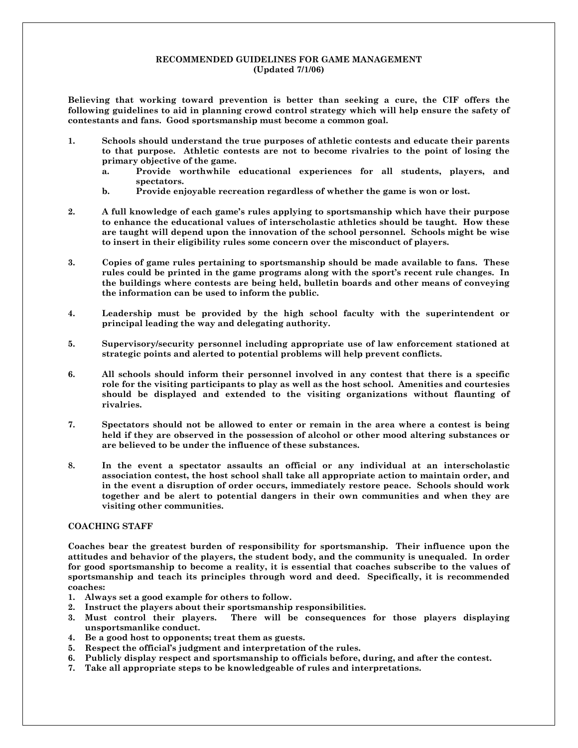# **RECOMMENDED GUIDELINES FOR GAME MANAGEMENT (Updated 7/1/06)**

**Believing that working toward prevention is better than seeking a cure, the CIF offers the following guidelines to aid in planning crowd control strategy which will help ensure the safety of contestants and fans. Good sportsmanship must become a common goal.** 

- **1. Schools should understand the true purposes of athletic contests and educate their parents to that purpose. Athletic contests are not to become rivalries to the point of losing the primary objective of the game.** 
	- **a. Provide worthwhile educational experiences for all students, players, and spectators.**
	- **b. Provide enjoyable recreation regardless of whether the game is won or lost.**
- **2. A full knowledge of each game's rules applying to sportsmanship which have their purpose to enhance the educational values of interscholastic athletics should be taught. How these are taught will depend upon the innovation of the school personnel. Schools might be wise to insert in their eligibility rules some concern over the misconduct of players.**
- **3. Copies of game rules pertaining to sportsmanship should be made available to fans. These rules could be printed in the game programs along with the sport's recent rule changes. In the buildings where contests are being held, bulletin boards and other means of conveying the information can be used to inform the public.**
- **4. Leadership must be provided by the high school faculty with the superintendent or principal leading the way and delegating authority.**
- **5. Supervisory/security personnel including appropriate use of law enforcement stationed at strategic points and alerted to potential problems will help prevent conflicts.**
- **6. All schools should inform their personnel involved in any contest that there is a specific role for the visiting participants to play as well as the host school. Amenities and courtesies should be displayed and extended to the visiting organizations without flaunting of rivalries.**
- **7. Spectators should not be allowed to enter or remain in the area where a contest is being held if they are observed in the possession of alcohol or other mood altering substances or are believed to be under the influence of these substances.**
- **8. In the event a spectator assaults an official or any individual at an interscholastic association contest, the host school shall take all appropriate action to maintain order, and in the event a disruption of order occurs, immediately restore peace. Schools should work together and be alert to potential dangers in their own communities and when they are visiting other communities.**

## **COACHING STAFF**

**Coaches bear the greatest burden of responsibility for sportsmanship. Their influence upon the attitudes and behavior of the players, the student body, and the community is unequaled. In order for good sportsmanship to become a reality, it is essential that coaches subscribe to the values of sportsmanship and teach its principles through word and deed. Specifically, it is recommended coaches:** 

- **1. Always set a good example for others to follow.**
- **2. Instruct the players about their sportsmanship responsibilities.**
- **3. Must control their players. There will be consequences for those players displaying unsportsmanlike conduct.**
- **4. Be a good host to opponents; treat them as guests.**
- **5. Respect the official's judgment and interpretation of the rules.**
- **6. Publicly display respect and sportsmanship to officials before, during, and after the contest.**
- **7. Take all appropriate steps to be knowledgeable of rules and interpretations.**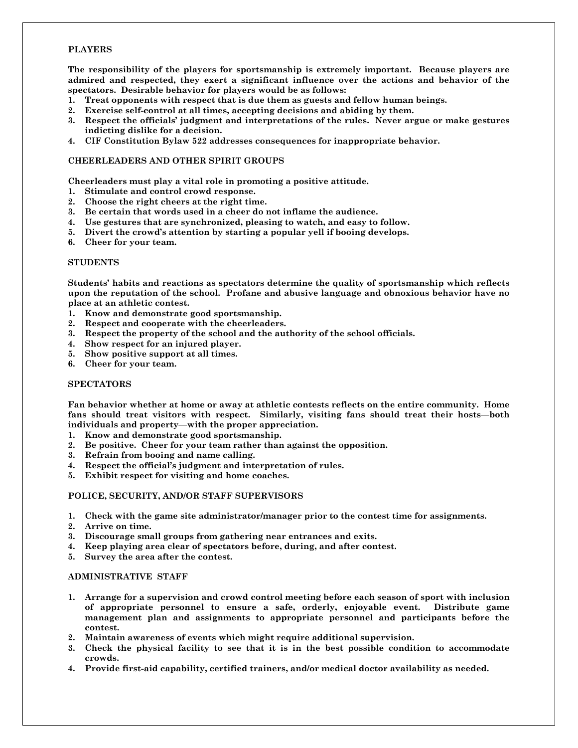# **PLAYERS**

**The responsibility of the players for sportsmanship is extremely important. Because players are admired and respected, they exert a significant influence over the actions and behavior of the spectators. Desirable behavior for players would be as follows:** 

- **1. Treat opponents with respect that is due them as guests and fellow human beings.**
- **2. Exercise self-control at all times, accepting decisions and abiding by them.**
- **3. Respect the officials' judgment and interpretations of the rules. Never argue or make gestures indicting dislike for a decision.**
- **4. CIF Constitution Bylaw 522 addresses consequences for inappropriate behavior.**

### **CHEERLEADERS AND OTHER SPIRIT GROUPS**

**Cheerleaders must play a vital role in promoting a positive attitude.** 

- **1. Stimulate and control crowd response.**
- **2. Choose the right cheers at the right time.**
- **3. Be certain that words used in a cheer do not inflame the audience.**
- **4. Use gestures that are synchronized, pleasing to watch, and easy to follow.**
- **5. Divert the crowd's attention by starting a popular yell if booing develops.**
- **6. Cheer for your team.**

#### **STUDENTS**

**Students' habits and reactions as spectators determine the quality of sportsmanship which reflects upon the reputation of the school. Profane and abusive language and obnoxious behavior have no place at an athletic contest.** 

- **1. Know and demonstrate good sportsmanship.**
- **2. Respect and cooperate with the cheerleaders.**
- **3. Respect the property of the school and the authority of the school officials.**
- **4. Show respect for an injured player.**
- **5. Show positive support at all times.**
- **6. Cheer for your team.**

# **SPECTATORS**

**Fan behavior whether at home or away at athletic contests reflects on the entire community. Home fans should treat visitors with respect. Similarly, visiting fans should treat their hosts—both individuals and property—with the proper appreciation.** 

- **1. Know and demonstrate good sportsmanship.**
- **2. Be positive. Cheer for your team rather than against the opposition.**
- **3. Refrain from booing and name calling.**
- **4. Respect the official's judgment and interpretation of rules.**
- **5. Exhibit respect for visiting and home coaches.**

## **POLICE, SECURITY, AND/OR STAFF SUPERVISORS**

- **1. Check with the game site administrator/manager prior to the contest time for assignments.**
- **2. Arrive on time.**
- **3. Discourage small groups from gathering near entrances and exits.**
- **4. Keep playing area clear of spectators before, during, and after contest.**
- **5. Survey the area after the contest.**

## **ADMINISTRATIVE STAFF**

- **1. Arrange for a supervision and crowd control meeting before each season of sport with inclusion of appropriate personnel to ensure a safe, orderly, enjoyable event. Distribute game management plan and assignments to appropriate personnel and participants before the contest.**
- **2. Maintain awareness of events which might require additional supervision.**
- **3. Check the physical facility to see that it is in the best possible condition to accommodate crowds.**
- **4. Provide first-aid capability, certified trainers, and/or medical doctor availability as needed.**